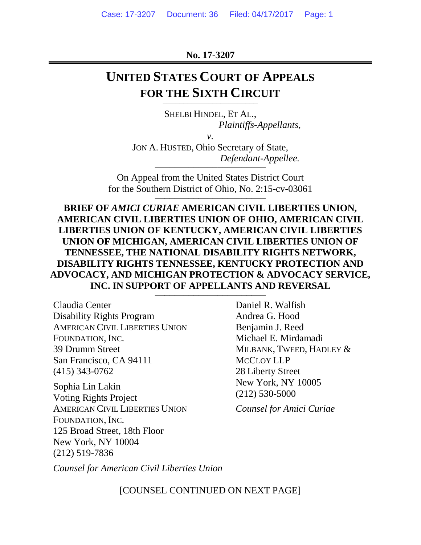**No. 17-3207**

## **UNITED STATES COURT OF APPEALS FOR THE SIXTH CIRCUIT**

SHELBI HINDEL, ET AL., *Plaintiffs-Appellants*,

*v.*

JON A. HUSTED, Ohio Secretary of State, *Defendant-Appellee.* \_\_\_\_\_\_\_\_\_\_\_\_\_\_\_\_\_\_\_\_\_\_\_

On Appeal from the United States District Court for the Southern District of Ohio, No.  $2:15$ -cv-03061

**BRIEF OF** *AMICI CURIAE* **AMERICAN CIVIL LIBERTIES UNION, AMERICAN CIVIL LIBERTIES UNION OF OHIO, AMERICAN CIVIL LIBERTIES UNION OF KENTUCKY, AMERICAN CIVIL LIBERTIES UNION OF MICHIGAN, AMERICAN CIVIL LIBERTIES UNION OF TENNESSEE, THE NATIONAL DISABILITY RIGHTS NETWORK, DISABILITY RIGHTS TENNESSEE, KENTUCKY PROTECTION AND ADVOCACY, AND MICHIGAN PROTECTION & ADVOCACY SERVICE, INC. IN SUPPORT OF APPELLANTS AND REVERSAL** \_\_\_\_\_\_\_\_\_\_\_\_\_\_\_\_\_\_\_\_\_\_\_

Claudia Center Disability Rights Program AMERICAN CIVIL LIBERTIES UNION FOUNDATION, INC. 39 Drumm Street San Francisco, CA 94111 (415) 343-0762

Sophia Lin Lakin Voting Rights Project AMERICAN CIVIL LIBERTIES UNION FOUNDATION, INC. 125 Broad Street, 18th Floor New York, NY 10004 (212) 519-7836

Daniel R. Walfish Andrea G. Hood Benjamin J. Reed Michael E. Mirdamadi MILBANK, TWEED, HADLEY & MCCLOY LLP 28 Liberty Street New York, NY 10005 (212) 530-5000

*Counsel for Amici Curiae*

*Counsel for American Civil Liberties Union*

[COUNSEL CONTINUED ON NEXT PAGE]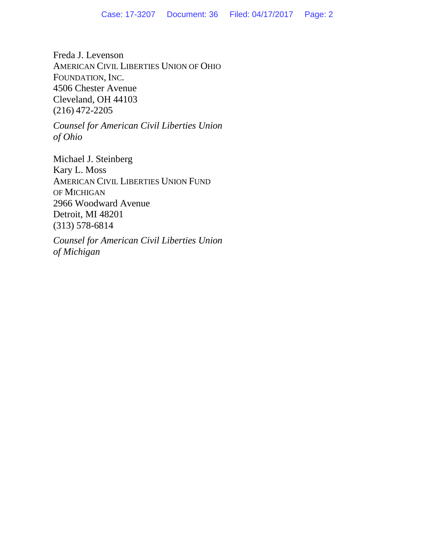Freda J. Levenson AMERICAN CIVIL LIBERTIES UNION OF OHIO FOUNDATION, INC. 4506 Chester Avenue Cleveland, OH 44103 (216) 472-2205

*Counsel for American Civil Liberties Union of Ohio*

Michael J. Steinberg Kary L. Moss AMERICAN CIVIL LIBERTIES UNION FUND OF MICHIGAN 2966 Woodward Avenue Detroit, MI 48201 (313) 578-6814

*Counsel for American Civil Liberties Union of Michigan*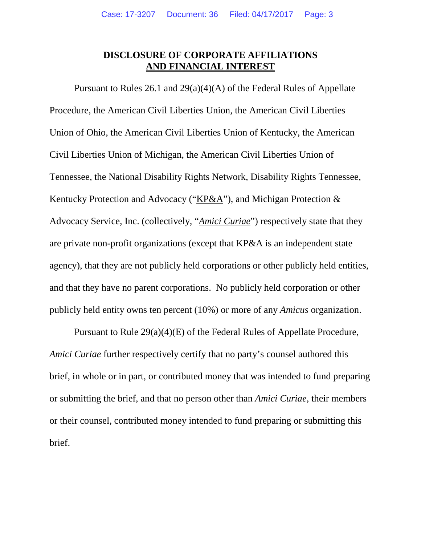### **DISCLOSURE OF CORPORATE AFFILIATIONS AND FINANCIAL INTEREST**

Pursuant to Rules 26.1 and 29(a)(4)(A) of the Federal Rules of Appellate Procedure, the American Civil Liberties Union, the American Civil Liberties Union of Ohio, the American Civil Liberties Union of Kentucky, the American Civil Liberties Union of Michigan, the American Civil Liberties Union of Tennessee, the National Disability Rights Network, Disability Rights Tennessee, Kentucky Protection and Advocacy ("KP&A"), and Michigan Protection & Advocacy Service, Inc. (collectively, "*Amici Curiae*") respectively state that they are private non-profit organizations (except that KP&A is an independent state agency), that they are not publicly held corporations or other publicly held entities, and that they have no parent corporations. No publicly held corporation or other publicly held entity owns ten percent (10%) or more of any *Amicus* organization.

Pursuant to Rule 29(a)(4)(E) of the Federal Rules of Appellate Procedure, *Amici Curiae* further respectively certify that no party's counsel authored this brief, in whole or in part, or contributed money that was intended to fund preparing or submitting the brief, and that no person other than *Amici Curiae*, their members or their counsel, contributed money intended to fund preparing or submitting this brief.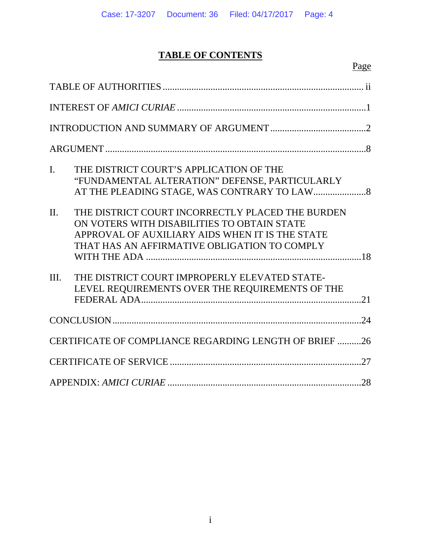## **TABLE OF CONTENTS**

| $\mathbf{I}$ .<br>THE DISTRICT COURT'S APPLICATION OF THE<br>"FUNDAMENTAL ALTERATION" DEFENSE, PARTICULARLY                                                                                                   |
|---------------------------------------------------------------------------------------------------------------------------------------------------------------------------------------------------------------|
| THE DISTRICT COURT INCORRECTLY PLACED THE BURDEN<br>$\Pi$ .<br>ON VOTERS WITH DISABILITIES TO OBTAIN STATE<br>APPROVAL OF AUXILIARY AIDS WHEN IT IS THE STATE<br>THAT HAS AN AFFIRMATIVE OBLIGATION TO COMPLY |
| THE DISTRICT COURT IMPROPERLY ELEVATED STATE-<br>III.                                                                                                                                                         |
| LEVEL REQUIREMENTS OVER THE REQUIREMENTS OF THE                                                                                                                                                               |
|                                                                                                                                                                                                               |
| CERTIFICATE OF COMPLIANCE REGARDING LENGTH OF BRIEF 26                                                                                                                                                        |
|                                                                                                                                                                                                               |
|                                                                                                                                                                                                               |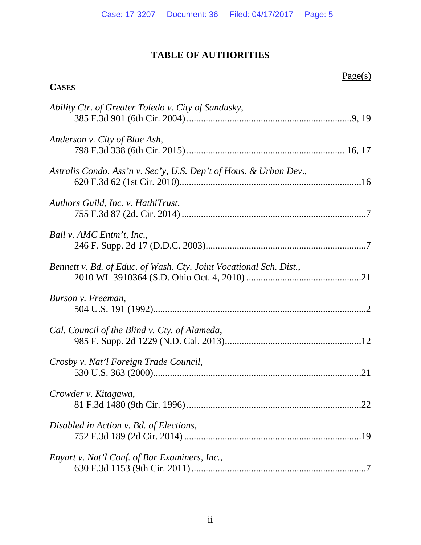#### **TABLE OF AUTHORITIES**

**CASES**

#### Page(s)

# *Ability Ctr. of Greater Toledo v. City of Sandusky*, 385 F.3d 901 (6th Cir. 2004).....................................................................9, 19 *Anderson v. City of Blue Ash*, 798 F.3d 338 (6th Cir. 2015).................................................................. 16, 17 *Astralis Condo. Ass'n v. Sec'y, U.S. Dep't of Hous. & Urban Dev*., 620 F.3d 62 (1st Cir. 2010)............................................................................16 *Authors Guild, Inc. v. HathiTrust*, 755 F.3d 87 (2d. Cir. 2014) .............................................................................7 *Ball v. AMC Entm't, Inc.*, 246 F. Supp. 2d 17 (D.D.C. 2003)...................................................................7 *Bennett v. Bd. of Educ. of Wash. Cty. Joint Vocational Sch. Dist.*, 2010 WL 3910364 (S.D. Ohio Oct. 4, 2010) ................................................21 *Burson v. Freeman*, 504 U.S. 191 (1992).........................................................................................2 *Cal. Council of the Blind v. Cty. of Alameda*, 985 F. Supp. 2d 1229 (N.D. Cal. 2013).........................................................12 *Crosby v. Nat'l Foreign Trade Council*, 530 U.S. 363 (2000).......................................................................................21 *Crowder v. Kitagawa*, 81 F.3d 1480 (9th Cir. 1996).........................................................................22 *Disabled in Action v. Bd. of Elections*, 752 F.3d 189 (2d Cir. 2014) ..........................................................................19 *Enyart v. Nat'l Conf. of Bar Examiners, Inc.*, 630 F.3d 1153 (9th Cir. 2011).........................................................................7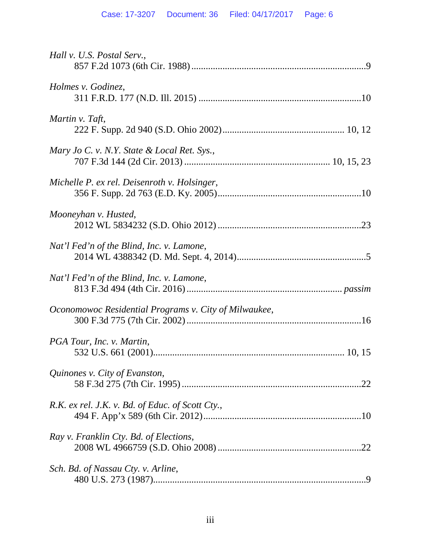| Hall v. U.S. Postal Serv.,                            |
|-------------------------------------------------------|
| Holmes v. Godinez,                                    |
| Martin v. Taft,                                       |
| Mary Jo C. v. N.Y. State & Local Ret. Sys.,           |
| Michelle P. ex rel. Deisenroth v. Holsinger,          |
| Mooneyhan v. Husted,                                  |
| Nat'l Fed'n of the Blind, Inc. v. Lamone,             |
| Nat'l Fed'n of the Blind, Inc. v. Lamone,             |
| Oconomowoc Residential Programs v. City of Milwaukee, |
| PGA Tour, Inc. v. Martin,                             |
| Quinones v. City of Evanston,                         |
| R.K. ex rel. J.K. v. Bd. of Educ. of Scott Cty.,      |
| Ray v. Franklin Cty. Bd. of Elections,                |
| Sch. Bd. of Nassau Cty. v. Arline,                    |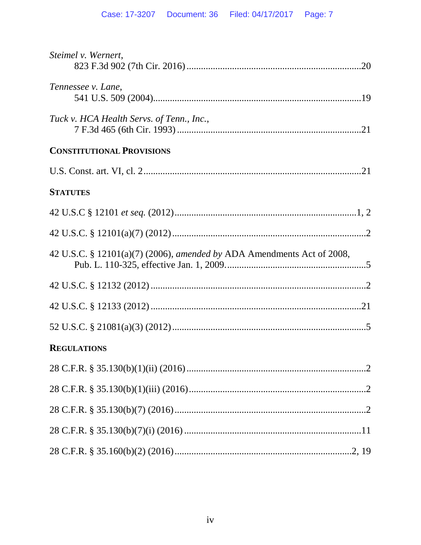| Steimel v. Wernert,                                                    |
|------------------------------------------------------------------------|
| Tennessee v. Lane,                                                     |
| Tuck v. HCA Health Servs. of Tenn., Inc.,                              |
| <b>CONSTITUTIONAL PROVISIONS</b>                                       |
|                                                                        |
| <b>STATUTES</b>                                                        |
|                                                                        |
|                                                                        |
| 42 U.S.C. § 12101(a)(7) (2006), amended by ADA Amendments Act of 2008, |
|                                                                        |
|                                                                        |
|                                                                        |
| <b>REGULATIONS</b>                                                     |
|                                                                        |
|                                                                        |
|                                                                        |
|                                                                        |
|                                                                        |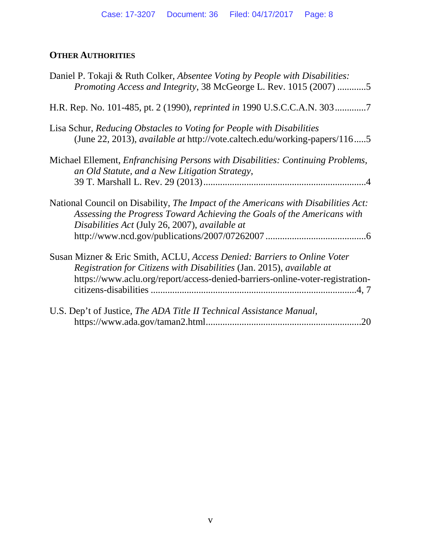## **OTHER AUTHORITIES**

| Daniel P. Tokaji & Ruth Colker, Absentee Voting by People with Disabilities:<br>Promoting Access and Integrity, 38 McGeorge L. Rev. 1015 (2007) 5                                                                                  |
|------------------------------------------------------------------------------------------------------------------------------------------------------------------------------------------------------------------------------------|
| H.R. Rep. No. 101-485, pt. 2 (1990), reprinted in 1990 U.S.C.C.A.N. 3037                                                                                                                                                           |
| Lisa Schur, Reducing Obstacles to Voting for People with Disabilities<br>(June 22, 2013), <i>available at http://vote.caltech.edu/working-papers/1165</i>                                                                          |
| Michael Ellement, <i>Enfranchising Persons with Disabilities: Continuing Problems</i> ,<br>an Old Statute, and a New Litigation Strategy,                                                                                          |
| National Council on Disability, The Impact of the Americans with Disabilities Act:<br>Assessing the Progress Toward Achieving the Goals of the Americans with<br>Disabilities Act (July 26, 2007), available at                    |
| Susan Mizner & Eric Smith, ACLU, Access Denied: Barriers to Online Voter<br>Registration for Citizens with Disabilities (Jan. 2015), available at<br>https://www.aclu.org/report/access-denied-barriers-online-voter-registration- |
| U.S. Dep't of Justice, The ADA Title II Technical Assistance Manual,<br>.20                                                                                                                                                        |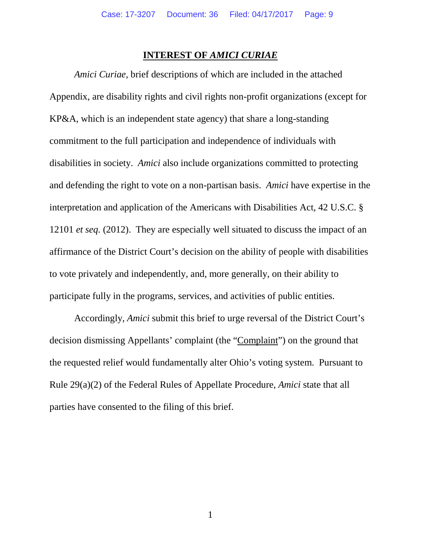#### **INTEREST OF** *AMICI CURIAE*

*Amici Curiae*, brief descriptions of which are included in the attached Appendix, are disability rights and civil rights non-profit organizations (except for KP&A, which is an independent state agency) that share a long-standing commitment to the full participation and independence of individuals with disabilities in society. *Amici* also include organizations committed to protecting and defending the right to vote on a non-partisan basis. *Amici* have expertise in the interpretation and application of the Americans with Disabilities Act, 42 U.S.C. § 12101 *et seq.* (2012). They are especially well situated to discuss the impact of an affirmance of the District Court's decision on the ability of people with disabilities to vote privately and independently, and, more generally, on their ability to participate fully in the programs, services, and activities of public entities.

Accordingly, *Amici* submit this brief to urge reversal of the District Court's decision dismissing Appellants' complaint (the "Complaint") on the ground that the requested relief would fundamentally alter Ohio's voting system. Pursuant to Rule 29(a)(2) of the Federal Rules of Appellate Procedure, *Amici* state that all parties have consented to the filing of this brief.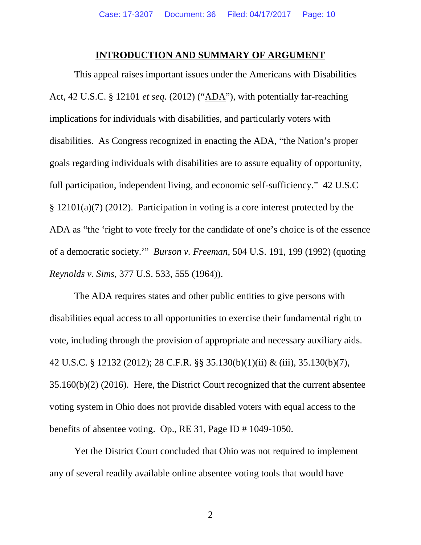#### **INTRODUCTION AND SUMMARY OF ARGUMENT**

This appeal raises important issues under the Americans with Disabilities Act, 42 U.S.C. § 12101 *et seq.* (2012) ("ADA"), with potentially far-reaching implications for individuals with disabilities, and particularly voters with disabilities. As Congress recognized in enacting the ADA, "the Nation's proper goals regarding individuals with disabilities are to assure equality of opportunity, full participation, independent living, and economic self-sufficiency." 42 U.S.C § 12101(a)(7) (2012). Participation in voting is a core interest protected by the ADA as "the 'right to vote freely for the candidate of one's choice is of the essence of a democratic society.'" *Burson v. Freeman*, 504 U.S. 191, 199 (1992) (quoting *Reynolds v. Sims*, 377 U.S. 533, 555 (1964)).

The ADA requires states and other public entities to give persons with disabilities equal access to all opportunities to exercise their fundamental right to vote, including through the provision of appropriate and necessary auxiliary aids. 42 U.S.C. § 12132 (2012); 28 C.F.R. §§ 35.130(b)(1)(ii) & (iii), 35.130(b)(7), 35.160(b)(2) (2016). Here, the District Court recognized that the current absentee voting system in Ohio does not provide disabled voters with equal access to the benefits of absentee voting. Op., RE 31, Page ID # 1049-1050.

Yet the District Court concluded that Ohio was not required to implement any of several readily available online absentee voting tools that would have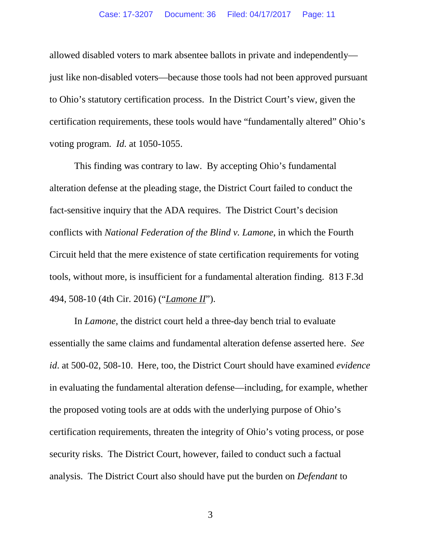allowed disabled voters to mark absentee ballots in private and independently just like non-disabled voters—because those tools had not been approved pursuant to Ohio's statutory certification process. In the District Court's view, given the certification requirements, these tools would have "fundamentally altered" Ohio's voting program. *Id.* at 1050-1055.

This finding was contrary to law. By accepting Ohio's fundamental alteration defense at the pleading stage, the District Court failed to conduct the fact-sensitive inquiry that the ADA requires. The District Court's decision conflicts with *National Federation of the Blind v. Lamone*, in which the Fourth Circuit held that the mere existence of state certification requirements for voting tools, without more, is insufficient for a fundamental alteration finding. 813 F.3d 494, 508-10 (4th Cir. 2016) ("*Lamone II*").

In *Lamone*, the district court held a three-day bench trial to evaluate essentially the same claims and fundamental alteration defense asserted here. *See id*. at 500-02, 508-10. Here, too, the District Court should have examined *evidence* in evaluating the fundamental alteration defense—including, for example, whether the proposed voting tools are at odds with the underlying purpose of Ohio's certification requirements, threaten the integrity of Ohio's voting process, or pose security risks. The District Court, however, failed to conduct such a factual analysis. The District Court also should have put the burden on *Defendant* to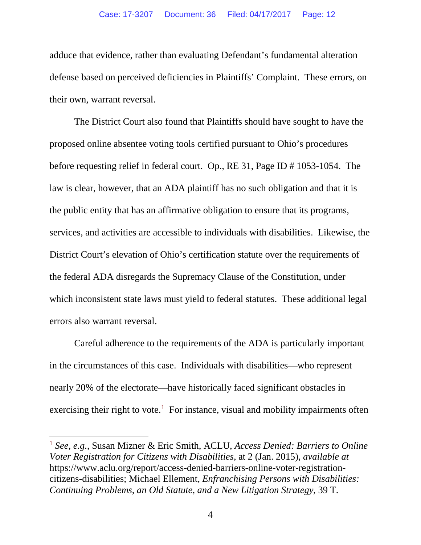adduce that evidence, rather than evaluating Defendant's fundamental alteration defense based on perceived deficiencies in Plaintiffs' Complaint. These errors, on their own, warrant reversal.

The District Court also found that Plaintiffs should have sought to have the proposed online absentee voting tools certified pursuant to Ohio's procedures before requesting relief in federal court. Op., RE 31, Page ID # 1053-1054. The law is clear, however, that an ADA plaintiff has no such obligation and that it is the public entity that has an affirmative obligation to ensure that its programs, services, and activities are accessible to individuals with disabilities. Likewise, the District Court's elevation of Ohio's certification statute over the requirements of the federal ADA disregards the Supremacy Clause of the Constitution, under which inconsistent state laws must yield to federal statutes. These additional legal errors also warrant reversal.

Careful adherence to the requirements of the ADA is particularly important in the circumstances of this case. Individuals with disabilities—who represent nearly 20% of the electorate—have historically faced significant obstacles in exercising their right to vote.<sup>[1](#page-12-0)</sup> For instance, visual and mobility impairments often

<sup>1</sup> *See, e.g.*, Susan Mizner & Eric Smith, ACLU, *Access Denied: Barriers to Online Voter Registration for Citizens with Disabilities*, at 2 (Jan. 2015), *available at*  https://www.aclu.org/report/access-denied-barriers-online-voter-registrationcitizens-disabilities; Michael Ellement, *Enfranchising Persons with Disabilities: Continuing Problems, an Old Statute, and a New Litigation Strategy*, 39 T.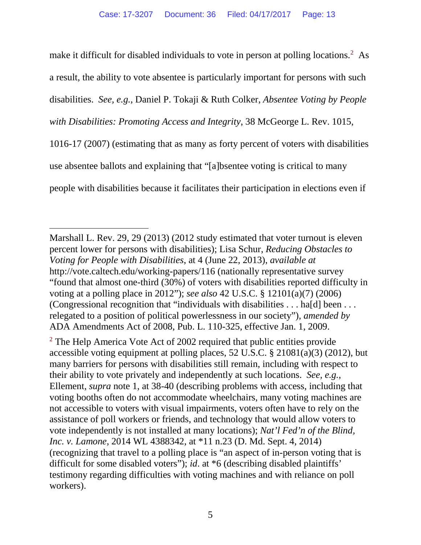make it difficult for disabled individuals to vote in person at polling locations.<sup>[2](#page-13-0)</sup> As a result, the ability to vote absentee is particularly important for persons with such disabilities. *See, e.g.*, Daniel P. Tokaji & Ruth Colker, *Absentee Voting by People with Disabilities: Promoting Access and Integrity*, 38 McGeorge L. Rev. 1015, 1016-17 (2007) (estimating that as many as forty percent of voters with disabilities use absentee ballots and explaining that "[a]bsentee voting is critical to many people with disabilities because it facilitates their participation in elections even if

<span id="page-12-0"></span>Marshall L. Rev. 29, 29 (2013) (2012 study estimated that voter turnout is eleven percent lower for persons with disabilities); Lisa Schur, *Reducing Obstacles to Voting for People with Disabilities*, at 4 (June 22, 2013), *available at* http://vote.caltech.edu/working-papers/116 (nationally representative survey "found that almost one-third (30%) of voters with disabilities reported difficulty in voting at a polling place in 2012"); *see also* 42 U.S.C. § 12101(a)(7) (2006) (Congressional recognition that "individuals with disabilities . . . ha[d] been . . . relegated to a position of political powerlessness in our society"), *amended by*  ADA Amendments Act of 2008, Pub. L. 110-325, effective Jan. 1, 2009.

<sup>&</sup>lt;sup>2</sup> The Help America Vote Act of 2002 required that public entities provide accessible voting equipment at polling places, 52 U.S.C. § 21081(a)(3) (2012), but many barriers for persons with disabilities still remain, including with respect to their ability to vote privately and independently at such locations. *See, e.g.*, Ellement, *supra* note 1, at 38-40 (describing problems with access, including that voting booths often do not accommodate wheelchairs, many voting machines are not accessible to voters with visual impairments, voters often have to rely on the assistance of poll workers or friends, and technology that would allow voters to vote independently is not installed at many locations); *Nat'l Fed'n of the Blind, Inc. v. Lamone*, 2014 WL 4388342, at \*11 n.23 (D. Md. Sept. 4, 2014) (recognizing that travel to a polling place is "an aspect of in-person voting that is difficult for some disabled voters"); *id*. at \*6 (describing disabled plaintiffs' testimony regarding difficulties with voting machines and with reliance on poll workers).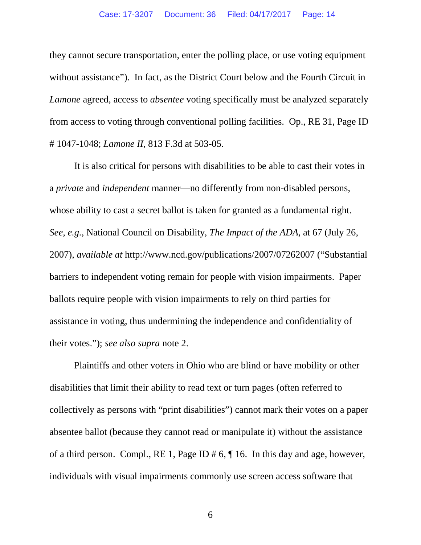they cannot secure transportation, enter the polling place, or use voting equipment without assistance"). In fact, as the District Court below and the Fourth Circuit in *Lamone* agreed, access to *absentee* voting specifically must be analyzed separately from access to voting through conventional polling facilities. Op., RE 31, Page ID # 1047-1048; *Lamone II*, 813 F.3d at 503-05.

It is also critical for persons with disabilities to be able to cast their votes in a *private* and *independent* manner—no differently from non-disabled persons, whose ability to cast a secret ballot is taken for granted as a fundamental right. *See, e.g.*, National Council on Disability, *The Impact of the ADA*, at 67 (July 26, 2007), *available at* http://www.ncd.gov/publications/2007/07262007 ("Substantial barriers to independent voting remain for people with vision impairments. Paper ballots require people with vision impairments to rely on third parties for assistance in voting, thus undermining the independence and confidentiality of their votes."); *see also supra* note 2.

<span id="page-13-0"></span>Plaintiffs and other voters in Ohio who are blind or have mobility or other disabilities that limit their ability to read text or turn pages (often referred to collectively as persons with "print disabilities") cannot mark their votes on a paper absentee ballot (because they cannot read or manipulate it) without the assistance of a third person. Compl., RE 1, Page ID # 6, ¶ 16. In this day and age, however, individuals with visual impairments commonly use screen access software that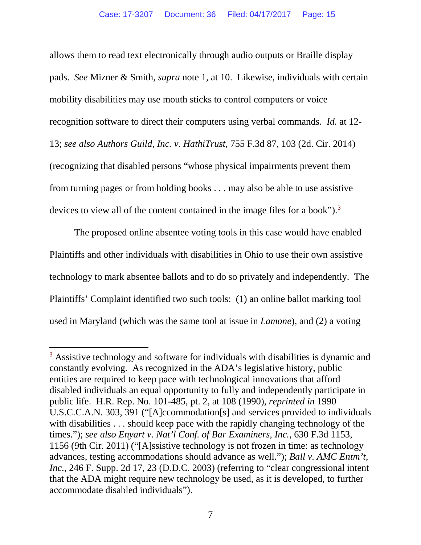allows them to read text electronically through audio outputs or Braille display pads. *See* Mizner & Smith, *supra* note 1, at 10. Likewise, individuals with certain mobility disabilities may use mouth sticks to control computers or voice recognition software to direct their computers using verbal commands. *Id.* at 12- 13; *see also Authors Guild, Inc. v. HathiTrust*, 755 F.3d 87, 103 (2d. Cir. 2014) (recognizing that disabled persons "whose physical impairments prevent them from turning pages or from holding books . . . may also be able to use assistive devices to view all of the content contained in the image files for a book").<sup>[3](#page-16-0)</sup>

The proposed online absentee voting tools in this case would have enabled Plaintiffs and other individuals with disabilities in Ohio to use their own assistive technology to mark absentee ballots and to do so privately and independently. The Plaintiffs' Complaint identified two such tools: (1) an online ballot marking tool used in Maryland (which was the same tool at issue in *Lamone*), and (2) a voting

<sup>&</sup>lt;sup>3</sup> Assistive technology and software for individuals with disabilities is dynamic and constantly evolving. As recognized in the ADA's legislative history, public entities are required to keep pace with technological innovations that afford disabled individuals an equal opportunity to fully and independently participate in public life. H.R. Rep. No. 101-485, pt. 2, at 108 (1990), *reprinted in* 1990 U.S.C.C.A.N. 303, 391 ("[A]ccommodation[s] and services provided to individuals with disabilities . . . should keep pace with the rapidly changing technology of the times."); *see also Enyart v. Nat'l Conf. of Bar Examiners, Inc.*, 630 F.3d 1153, 1156 (9th Cir. 2011) ("[A]ssistive technology is not frozen in time: as technology advances, testing accommodations should advance as well."); *Ball v. AMC Entm't, Inc.*, 246 F. Supp. 2d 17, 23 (D.D.C. 2003) (referring to "clear congressional intent that the ADA might require new technology be used, as it is developed, to further accommodate disabled individuals").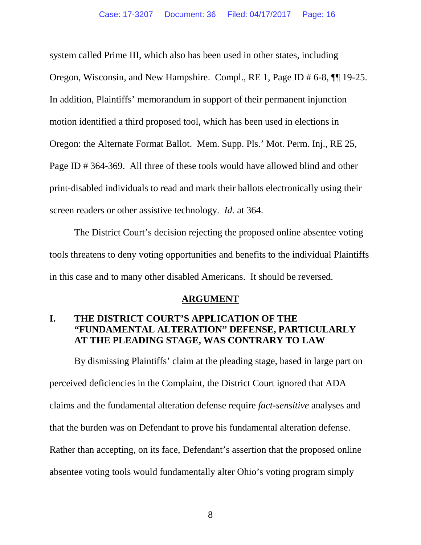system called Prime III, which also has been used in other states, including Oregon, Wisconsin, and New Hampshire. Compl., RE 1, Page ID # 6-8, ¶¶ 19-25. In addition, Plaintiffs' memorandum in support of their permanent injunction motion identified a third proposed tool, which has been used in elections in Oregon: the Alternate Format Ballot. Mem. Supp. Pls.' Mot. Perm. Inj., RE 25, Page ID # 364-369. All three of these tools would have allowed blind and other print-disabled individuals to read and mark their ballots electronically using their screen readers or other assistive technology. *Id.* at 364.

The District Court's decision rejecting the proposed online absentee voting tools threatens to deny voting opportunities and benefits to the individual Plaintiffs in this case and to many other disabled Americans. It should be reversed.

#### **ARGUMENT**

### **I. THE DISTRICT COURT'S APPLICATION OF THE "FUNDAMENTAL ALTERATION" DEFENSE, PARTICULARLY AT THE PLEADING STAGE, WAS CONTRARY TO LAW**

By dismissing Plaintiffs' claim at the pleading stage, based in large part on perceived deficiencies in the Complaint, the District Court ignored that ADA claims and the fundamental alteration defense require *fact-sensitive* analyses and that the burden was on Defendant to prove his fundamental alteration defense. Rather than accepting, on its face, Defendant's assertion that the proposed online absentee voting tools would fundamentally alter Ohio's voting program simply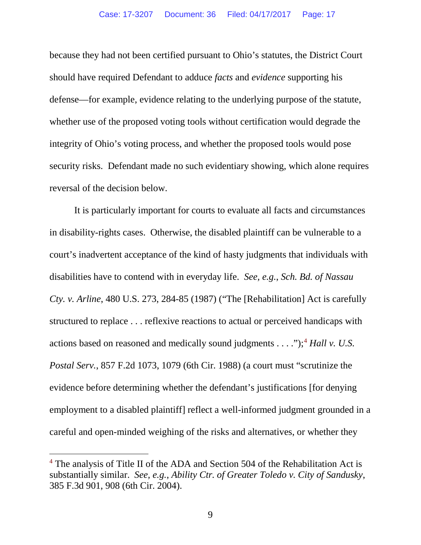because they had not been certified pursuant to Ohio's statutes, the District Court should have required Defendant to adduce *facts* and *evidence* supporting his defense—for example, evidence relating to the underlying purpose of the statute, whether use of the proposed voting tools without certification would degrade the integrity of Ohio's voting process, and whether the proposed tools would pose security risks. Defendant made no such evidentiary showing, which alone requires reversal of the decision below.

<span id="page-16-0"></span>It is particularly important for courts to evaluate all facts and circumstances in disability-rights cases. Otherwise, the disabled plaintiff can be vulnerable to a court's inadvertent acceptance of the kind of hasty judgments that individuals with disabilities have to contend with in everyday life. *See, e.g.*, *Sch. Bd. of Nassau Cty. v. Arline*, 480 U.S. 273, 284-85 (1987) ("The [Rehabilitation] Act is carefully structured to replace . . . reflexive reactions to actual or perceived handicaps with actions based on reasoned and medically sound judgments . . . ."); [4](#page-19-0) *Hall v. U.S. Postal Serv.*, 857 F.2d 1073, 1079 (6th Cir. 1988) (a court must "scrutinize the evidence before determining whether the defendant's justifications [for denying employment to a disabled plaintiff] reflect a well-informed judgment grounded in a careful and open-minded weighing of the risks and alternatives, or whether they

<sup>&</sup>lt;sup>4</sup> The analysis of Title II of the ADA and Section 504 of the Rehabilitation Act is substantially similar. *See, e.g.*, *Ability Ctr. of Greater Toledo v. City of Sandusky*, 385 F.3d 901, 908 (6th Cir. 2004).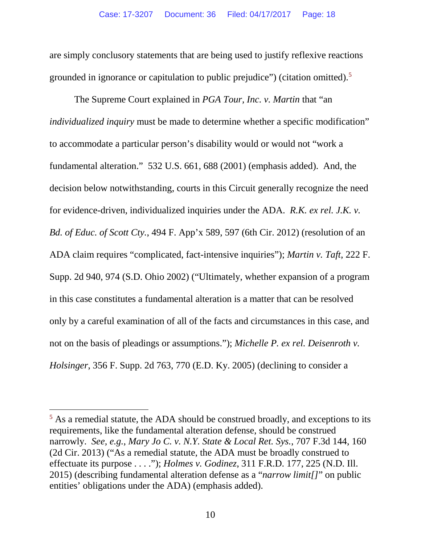are simply conclusory statements that are being used to justify reflexive reactions grounded in ignorance or capitulation to public prejudice") (citation omitted). [5](#page-19-1)

The Supreme Court explained in *PGA Tour, Inc. v. Martin* that "an *individualized inquiry* must be made to determine whether a specific modification" to accommodate a particular person's disability would or would not "work a fundamental alteration." 532 U.S. 661, 688 (2001) (emphasis added). And, the decision below notwithstanding, courts in this Circuit generally recognize the need for evidence-driven, individualized inquiries under the ADA. *R.K. ex rel. J.K. v. Bd. of Educ. of Scott Cty.*, 494 F. App'x 589, 597 (6th Cir. 2012) (resolution of an ADA claim requires "complicated, fact-intensive inquiries"); *Martin v. Taft*, 222 F. Supp. 2d 940, 974 (S.D. Ohio 2002) ("Ultimately, whether expansion of a program in this case constitutes a fundamental alteration is a matter that can be resolved only by a careful examination of all of the facts and circumstances in this case, and not on the basis of pleadings or assumptions."); *Michelle P. ex rel. Deisenroth v. Holsinger*, 356 F. Supp. 2d 763, 770 (E.D. Ky. 2005) (declining to consider a

<sup>&</sup>lt;sup>5</sup> As a remedial statute, the ADA should be construed broadly, and exceptions to its requirements, like the fundamental alteration defense, should be construed narrowly. *See, e.g.*, *Mary Jo C. v. N.Y. State & Local Ret. Sys.*, 707 F.3d 144, 160 (2d Cir. 2013) ("As a remedial statute, the ADA must be broadly construed to effectuate its purpose . . . ."); *Holmes v. Godinez*, 311 F.R.D. 177, 225 (N.D. Ill. 2015) (describing fundamental alteration defense as a "*narrow limit[]*" on public entities' obligations under the ADA) (emphasis added).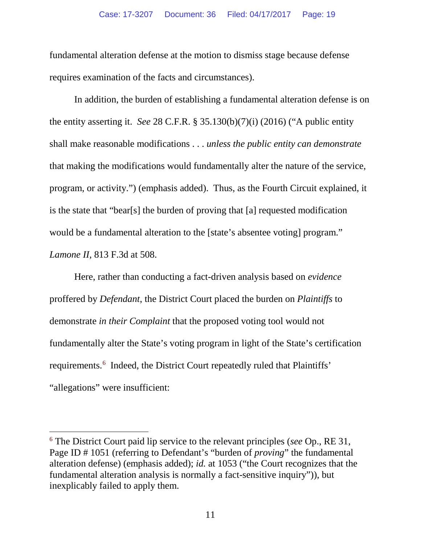fundamental alteration defense at the motion to dismiss stage because defense requires examination of the facts and circumstances).

In addition, the burden of establishing a fundamental alteration defense is on the entity asserting it. *See* 28 C.F.R. § 35.130(b)(7)(i) (2016) ("A public entity shall make reasonable modifications . . . *unless the public entity can demonstrate* that making the modifications would fundamentally alter the nature of the service, program, or activity.") (emphasis added). Thus, as the Fourth Circuit explained, it is the state that "bear[s] the burden of proving that [a] requested modification would be a fundamental alteration to the [state's absentee voting] program." *Lamone II*, 813 F.3d at 508.

Here, rather than conducting a fact-driven analysis based on *evidence* proffered by *Defendant*, the District Court placed the burden on *Plaintiffs* to demonstrate *in their Complaint* that the proposed voting tool would not fundamentally alter the State's voting program in light of the State's certification requirements.<sup>[6](#page-21-0)</sup> Indeed, the District Court repeatedly ruled that Plaintiffs' "allegations" were insufficient:

<sup>6</sup> The District Court paid lip service to the relevant principles (*see* Op., RE 31, Page ID # 1051 (referring to Defendant's "burden of *proving*" the fundamental alteration defense) (emphasis added); *id.* at 1053 ("the Court recognizes that the fundamental alteration analysis is normally a fact-sensitive inquiry")), but inexplicably failed to apply them.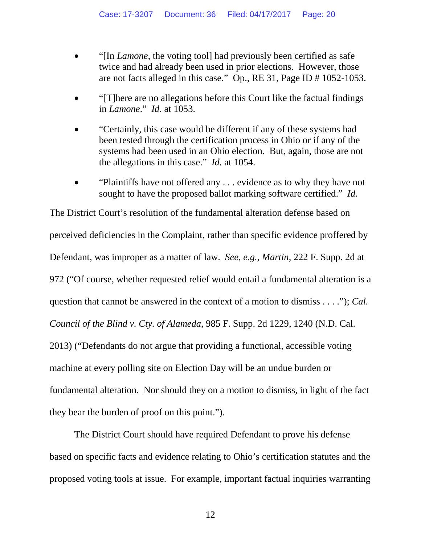- "[In *Lamone*, the voting tool] had previously been certified as safe twice and had already been used in prior elections. However, those are not facts alleged in this case." Op., RE 31, Page ID # 1052-1053.
- "[T]here are no allegations before this Court like the factual findings in *Lamone*." *Id.* at 1053.
- "Certainly, this case would be different if any of these systems had been tested through the certification process in Ohio or if any of the systems had been used in an Ohio election. But, again, those are not the allegations in this case." *Id.* at 1054.
- "Plaintiffs have not offered any . . . evidence as to why they have not sought to have the proposed ballot marking software certified." *Id.*

<span id="page-19-0"></span>The District Court's resolution of the fundamental alteration defense based on perceived deficiencies in the Complaint, rather than specific evidence proffered by Defendant, was improper as a matter of law. *See, e.g.*, *Martin*, 222 F. Supp. 2d at 972 ("Of course, whether requested relief would entail a fundamental alteration is a question that cannot be answered in the context of a motion to dismiss . . . ."); *Cal. Council of the Blind v. Cty. of Alameda*, 985 F. Supp. 2d 1229, 1240 (N.D. Cal. 2013) ("Defendants do not argue that providing a functional, accessible voting machine at every polling site on Election Day will be an undue burden or fundamental alteration. Nor should they on a motion to dismiss, in light of the fact they bear the burden of proof on this point.").

<span id="page-19-1"></span>The District Court should have required Defendant to prove his defense based on specific facts and evidence relating to Ohio's certification statutes and the proposed voting tools at issue. For example, important factual inquiries warranting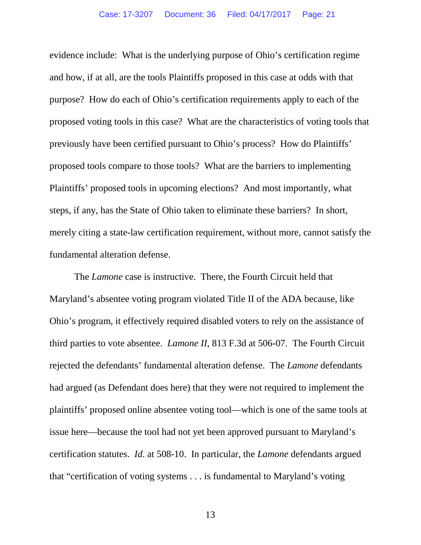evidence include: What is the underlying purpose of Ohio's certification regime and how, if at all, are the tools Plaintiffs proposed in this case at odds with that purpose? How do each of Ohio's certification requirements apply to each of the proposed voting tools in this case? What are the characteristics of voting tools that previously have been certified pursuant to Ohio's process? How do Plaintiffs' proposed tools compare to those tools? What are the barriers to implementing Plaintiffs' proposed tools in upcoming elections? And most importantly, what steps, if any, has the State of Ohio taken to eliminate these barriers? In short, merely citing a state-law certification requirement, without more, cannot satisfy the fundamental alteration defense.

The *Lamone* case is instructive. There, the Fourth Circuit held that Maryland's absentee voting program violated Title II of the ADA because, like Ohio's program, it effectively required disabled voters to rely on the assistance of third parties to vote absentee. *Lamone II*, 813 F.3d at 506-07. The Fourth Circuit rejected the defendants' fundamental alteration defense. The *Lamone* defendants had argued (as Defendant does here) that they were not required to implement the plaintiffs' proposed online absentee voting tool—which is one of the same tools at issue here—because the tool had not yet been approved pursuant to Maryland's certification statutes. *Id*. at 508-10. In particular, the *Lamone* defendants argued that "certification of voting systems . . . is fundamental to Maryland's voting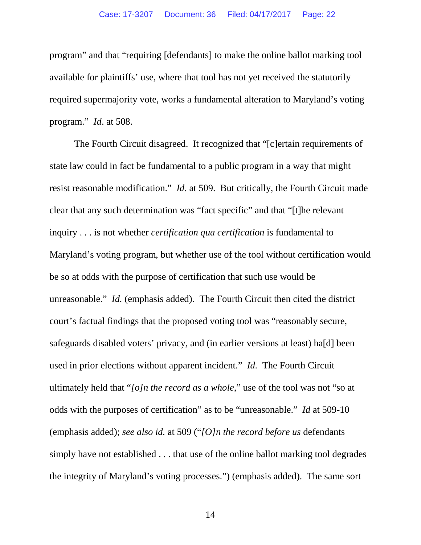program" and that "requiring [defendants] to make the online ballot marking tool available for plaintiffs' use, where that tool has not yet received the statutorily required supermajority vote, works a fundamental alteration to Maryland's voting program." *Id*. at 508.

<span id="page-21-0"></span>The Fourth Circuit disagreed. It recognized that "[c]ertain requirements of state law could in fact be fundamental to a public program in a way that might resist reasonable modification." *Id*. at 509. But critically, the Fourth Circuit made clear that any such determination was "fact specific" and that "[t]he relevant inquiry . . . is not whether *certification qua certification* is fundamental to Maryland's voting program, but whether use of the tool without certification would be so at odds with the purpose of certification that such use would be unreasonable." *Id.* (emphasis added). The Fourth Circuit then cited the district court's factual findings that the proposed voting tool was "reasonably secure, safeguards disabled voters' privacy, and (in earlier versions at least) ha[d] been used in prior elections without apparent incident." *Id.* The Fourth Circuit ultimately held that "*[o]n the record as a whole*," use of the tool was not "so at odds with the purposes of certification" as to be "unreasonable." *Id* at 509-10 (emphasis added); *see also id.* at 509 ("*[O]n the record before us* defendants simply have not established . . . that use of the online ballot marking tool degrades the integrity of Maryland's voting processes.") (emphasis added). The same sort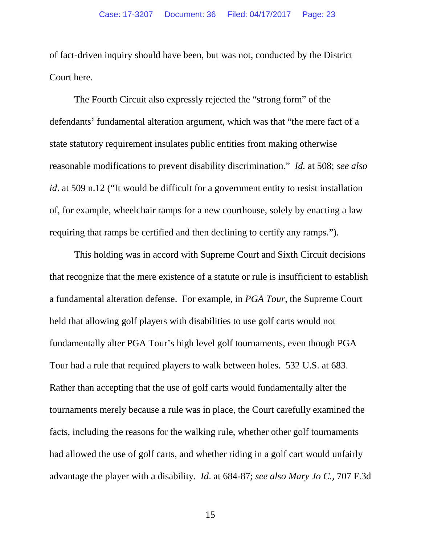of fact-driven inquiry should have been, but was not, conducted by the District Court here.

The Fourth Circuit also expressly rejected the "strong form" of the defendants' fundamental alteration argument, which was that "the mere fact of a state statutory requirement insulates public entities from making otherwise reasonable modifications to prevent disability discrimination." *Id.* at 508; *see also id*. at 509 n.12 ("It would be difficult for a government entity to resist installation of, for example, wheelchair ramps for a new courthouse, solely by enacting a law requiring that ramps be certified and then declining to certify any ramps.").

This holding was in accord with Supreme Court and Sixth Circuit decisions that recognize that the mere existence of a statute or rule is insufficient to establish a fundamental alteration defense. For example, in *PGA Tour*, the Supreme Court held that allowing golf players with disabilities to use golf carts would not fundamentally alter PGA Tour's high level golf tournaments, even though PGA Tour had a rule that required players to walk between holes. 532 U.S. at 683. Rather than accepting that the use of golf carts would fundamentally alter the tournaments merely because a rule was in place, the Court carefully examined the facts, including the reasons for the walking rule, whether other golf tournaments had allowed the use of golf carts, and whether riding in a golf cart would unfairly advantage the player with a disability. *Id*. at 684-87; *see also Mary Jo C.,* 707 F.3d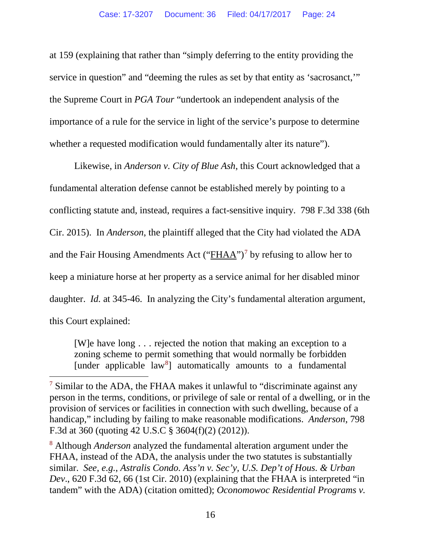at 159 (explaining that rather than "simply deferring to the entity providing the service in question" and "deeming the rules as set by that entity as 'sacrosanct,'" the Supreme Court in *PGA Tour* "undertook an independent analysis of the importance of a rule for the service in light of the service's purpose to determine whether a requested modification would fundamentally alter its nature").

Likewise, in *Anderson v. City of Blue Ash*, this Court acknowledged that a fundamental alteration defense cannot be established merely by pointing to a conflicting statute and, instead, requires a fact-sensitive inquiry. 798 F.3d 338 (6th Cir. 2015). In *Anderson*, the plaintiff alleged that the City had violated the ADA and the Fair Housing Amendments Act ("FHAA")<sup>[7](#page-27-0)</sup> by refusing to allow her to keep a miniature horse at her property as a service animal for her disabled minor daughter. *Id.* at 345-46. In analyzing the City's fundamental alteration argument, this Court explained:

[W]e have long . . . rejected the notion that making an exception to a zoning scheme to permit something that would normally be forbidden [under applicable law<sup>[8](#page-27-1)</sup>] automatically amounts to a fundamental

 $\overline{a}$ 

<sup>8</sup> Although *Anderson* analyzed the fundamental alteration argument under the FHAA, instead of the ADA, the analysis under the two statutes is substantially similar. *See, e.g.*, *Astralis Condo. Ass'n v. Sec'y, U.S. Dep't of Hous. & Urban Dev*., 620 F.3d 62, 66 (1st Cir. 2010) (explaining that the FHAA is interpreted "in tandem" with the ADA) (citation omitted); *Oconomowoc Residential Programs v.* 

 $7$  Similar to the ADA, the FHAA makes it unlawful to "discriminate against any person in the terms, conditions, or privilege of sale or rental of a dwelling, or in the provision of services or facilities in connection with such dwelling, because of a handicap," including by failing to make reasonable modifications. *Anderson*, 798 F.3d at 360 (quoting 42 U.S.C § 3604(f)(2) (2012)).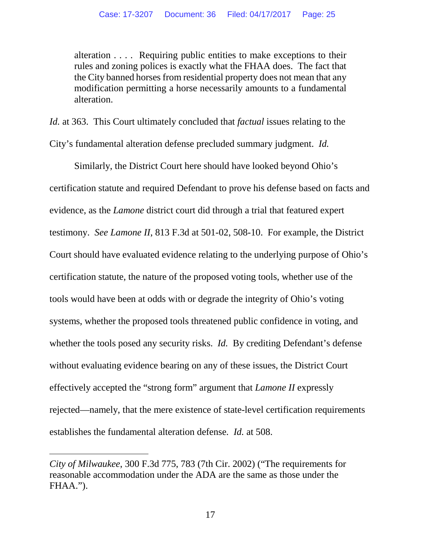alteration . . . . Requiring public entities to make exceptions to their rules and zoning polices is exactly what the FHAA does. The fact that the City banned horses from residential property does not mean that any modification permitting a horse necessarily amounts to a fundamental alteration.

*Id.* at 363. This Court ultimately concluded that *factual* issues relating to the City's fundamental alteration defense precluded summary judgment. *Id.*

Similarly, the District Court here should have looked beyond Ohio's certification statute and required Defendant to prove his defense based on facts and evidence, as the *Lamone* district court did through a trial that featured expert testimony. *See Lamone II*, 813 F.3d at 501-02, 508-10. For example, the District Court should have evaluated evidence relating to the underlying purpose of Ohio's certification statute, the nature of the proposed voting tools, whether use of the tools would have been at odds with or degrade the integrity of Ohio's voting systems, whether the proposed tools threatened public confidence in voting, and whether the tools posed any security risks. *Id.* By crediting Defendant's defense without evaluating evidence bearing on any of these issues, the District Court effectively accepted the "strong form" argument that *Lamone II* expressly rejected—namely, that the mere existence of state-level certification requirements establishes the fundamental alteration defense*. Id.* at 508.

*City of Milwaukee*, 300 F.3d 775, 783 (7th Cir. 2002) ("The requirements for reasonable accommodation under the ADA are the same as those under the FHAA.").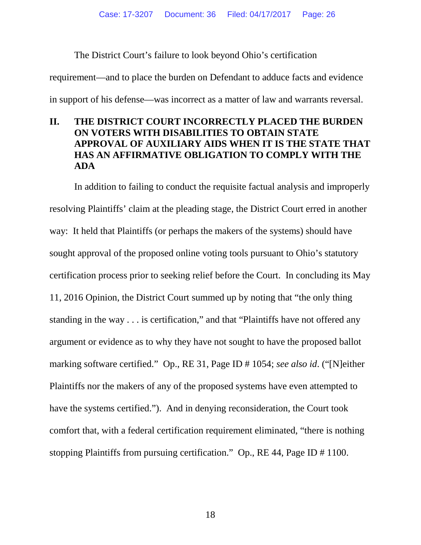The District Court's failure to look beyond Ohio's certification

requirement—and to place the burden on Defendant to adduce facts and evidence

in support of his defense—was incorrect as a matter of law and warrants reversal.

## **II. THE DISTRICT COURT INCORRECTLY PLACED THE BURDEN ON VOTERS WITH DISABILITIES TO OBTAIN STATE APPROVAL OF AUXILIARY AIDS WHEN IT IS THE STATE THAT HAS AN AFFIRMATIVE OBLIGATION TO COMPLY WITH THE ADA**

In addition to failing to conduct the requisite factual analysis and improperly resolving Plaintiffs' claim at the pleading stage, the District Court erred in another way: It held that Plaintiffs (or perhaps the makers of the systems) should have sought approval of the proposed online voting tools pursuant to Ohio's statutory certification process prior to seeking relief before the Court. In concluding its May 11, 2016 Opinion, the District Court summed up by noting that "the only thing standing in the way . . . is certification," and that "Plaintiffs have not offered any argument or evidence as to why they have not sought to have the proposed ballot marking software certified." Op., RE 31, Page ID # 1054; *see also id*. ("[N]either Plaintiffs nor the makers of any of the proposed systems have even attempted to have the systems certified."). And in denying reconsideration, the Court took comfort that, with a federal certification requirement eliminated, "there is nothing stopping Plaintiffs from pursuing certification." Op., RE 44, Page ID # 1100.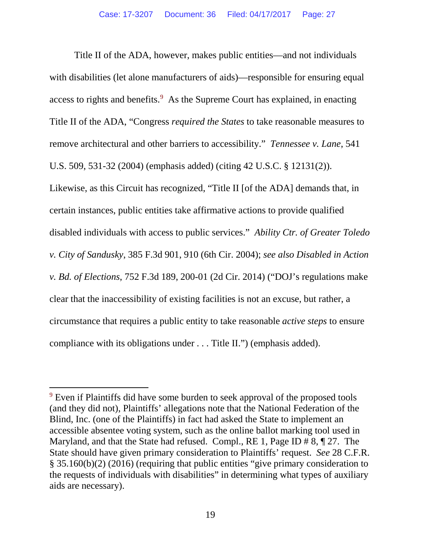Title II of the ADA, however, makes public entities—and not individuals with disabilities (let alone manufacturers of aids)—responsible for ensuring equal access to rights and benefits. $9$  As the Supreme Court has explained, in enacting Title II of the ADA, "Congress *required the States* to take reasonable measures to remove architectural and other barriers to accessibility." *Tennessee v. Lane*, 541 U.S. 509, 531-32 (2004) (emphasis added) (citing 42 U.S.C. § 12131(2)). Likewise, as this Circuit has recognized, "Title II [of the ADA] demands that, in certain instances, public entities take affirmative actions to provide qualified disabled individuals with access to public services." *Ability Ctr. of Greater Toledo v. City of Sandusky*, 385 F.3d 901, 910 (6th Cir. 2004); *see also Disabled in Action v. Bd. of Elections*, 752 F.3d 189, 200-01 (2d Cir. 2014) ("DOJ's regulations make clear that the inaccessibility of existing facilities is not an excuse, but rather, a circumstance that requires a public entity to take reasonable *active steps* to ensure compliance with its obligations under . . . Title II.") (emphasis added).

<sup>&</sup>lt;sup>9</sup> Even if Plaintiffs did have some burden to seek approval of the proposed tools (and they did not), Plaintiffs' allegations note that the National Federation of the Blind, Inc. (one of the Plaintiffs) in fact had asked the State to implement an accessible absentee voting system, such as the online ballot marking tool used in Maryland, and that the State had refused. Compl., RE 1, Page ID # 8, ¶ 27. The State should have given primary consideration to Plaintiffs' request. *See* 28 C.F.R. § 35.160(b)(2) (2016) (requiring that public entities "give primary consideration to the requests of individuals with disabilities" in determining what types of auxiliary aids are necessary).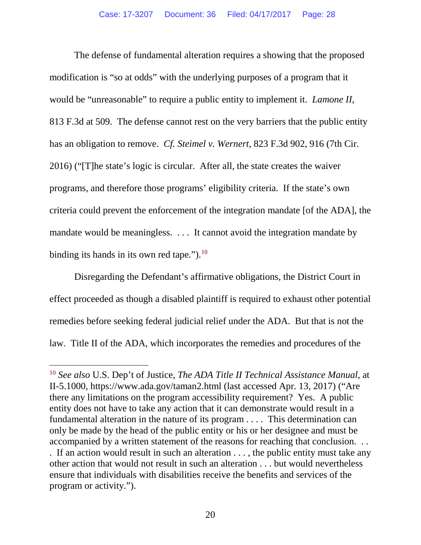The defense of fundamental alteration requires a showing that the proposed modification is "so at odds" with the underlying purposes of a program that it would be "unreasonable" to require a public entity to implement it. *Lamone II*, 813 F.3d at 509. The defense cannot rest on the very barriers that the public entity has an obligation to remove. *Cf. Steimel v. Wernert*, 823 F.3d 902, 916 (7th Cir. 2016) ("[T]he state's logic is circular. After all, the state creates the waiver programs, and therefore those programs' eligibility criteria. If the state's own criteria could prevent the enforcement of the integration mandate [of the ADA], the mandate would be meaningless. . . . It cannot avoid the integration mandate by binding its hands in its own red tape." $\cdot$ .<sup>[10](#page-31-0)</sup>

<span id="page-27-0"></span>Disregarding the Defendant's affirmative obligations, the District Court in effect proceeded as though a disabled plaintiff is required to exhaust other potential remedies before seeking federal judicial relief under the ADA. But that is not the law. Title II of the ADA, which incorporates the remedies and procedures of the

<span id="page-27-1"></span><sup>10</sup> *See also* U.S. Dep't of Justice, *The ADA Title II Technical Assistance Manual*, at II-5.1000, https://www.ada.gov/taman2.html (last accessed Apr. 13, 2017) ("Are there any limitations on the program accessibility requirement? Yes. A public entity does not have to take any action that it can demonstrate would result in a fundamental alteration in the nature of its program . . . . This determination can only be made by the head of the public entity or his or her designee and must be accompanied by a written statement of the reasons for reaching that conclusion. . . . If an action would result in such an alteration . . . , the public entity must take any other action that would not result in such an alteration . . . but would nevertheless ensure that individuals with disabilities receive the benefits and services of the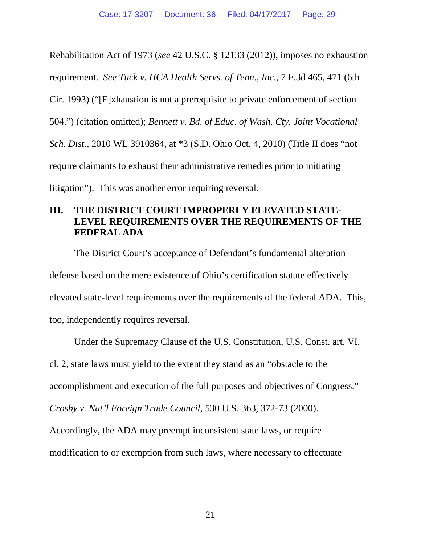Rehabilitation Act of 1973 (*see* 42 U.S.C. § 12133 (2012)), imposes no exhaustion requirement. *See Tuck v. HCA Health Servs. of Tenn., Inc.*, 7 F.3d 465, 471 (6th Cir. 1993) ("[E]xhaustion is not a prerequisite to private enforcement of section 504.") (citation omitted); *Bennett v. Bd. of Educ. of Wash. Cty. Joint Vocational Sch. Dist.*, 2010 WL 3910364, at \*3 (S.D. Ohio Oct. 4, 2010) (Title II does "not require claimants to exhaust their administrative remedies prior to initiating litigation"). This was another error requiring reversal.

### **III. THE DISTRICT COURT IMPROPERLY ELEVATED STATE-LEVEL REQUIREMENTS OVER THE REQUIREMENTS OF THE FEDERAL ADA**

The District Court's acceptance of Defendant's fundamental alteration defense based on the mere existence of Ohio's certification statute effectively elevated state-level requirements over the requirements of the federal ADA. This, too, independently requires reversal.

Under the Supremacy Clause of the U.S. Constitution, U.S. Const. art. VI, cl. 2, state laws must yield to the extent they stand as an "obstacle to the accomplishment and execution of the full purposes and objectives of Congress." *Crosby v. Nat'l Foreign Trade Council*, 530 U.S. 363, 372-73 (2000).

Accordingly, the ADA may preempt inconsistent state laws, or require

modification to or exemption from such laws, where necessary to effectuate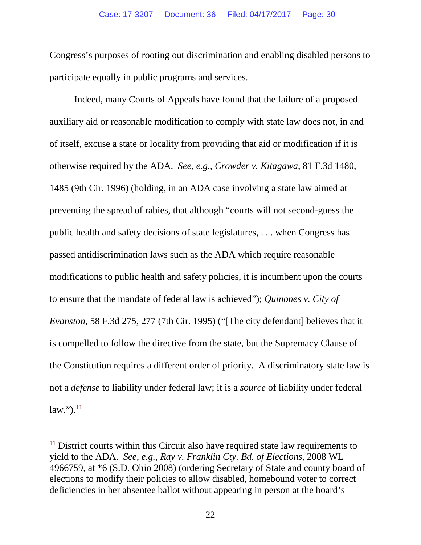Congress's purposes of rooting out discrimination and enabling disabled persons to participate equally in public programs and services.

Indeed, many Courts of Appeals have found that the failure of a proposed auxiliary aid or reasonable modification to comply with state law does not, in and of itself, excuse a state or locality from providing that aid or modification if it is otherwise required by the ADA. *See, e.g.*, *Crowder v. Kitagawa*, 81 F.3d 1480, 1485 (9th Cir. 1996) (holding, in an ADA case involving a state law aimed at preventing the spread of rabies, that although "courts will not second-guess the public health and safety decisions of state legislatures, . . . when Congress has passed antidiscrimination laws such as the ADA which require reasonable modifications to public health and safety policies, it is incumbent upon the courts to ensure that the mandate of federal law is achieved"); *Quinones v. City of Evanston*, 58 F.3d 275, 277 (7th Cir. 1995) ("[The city defendant] believes that it is compelled to follow the directive from the state, but the Supremacy Clause of the Constitution requires a different order of priority. A discriminatory state law is not a *defense* to liability under federal law; it is a *source* of liability under federal  $law.'$ ).<sup>11</sup>

<sup>&</sup>lt;sup>11</sup> District courts within this Circuit also have required state law requirements to yield to the ADA. *See, e.g.*, *Ray v. Franklin Cty. Bd. of Elections*, 2008 WL 4966759, at \*6 (S.D. Ohio 2008) (ordering Secretary of State and county board of elections to modify their policies to allow disabled, homebound voter to correct deficiencies in her absentee ballot without appearing in person at the board's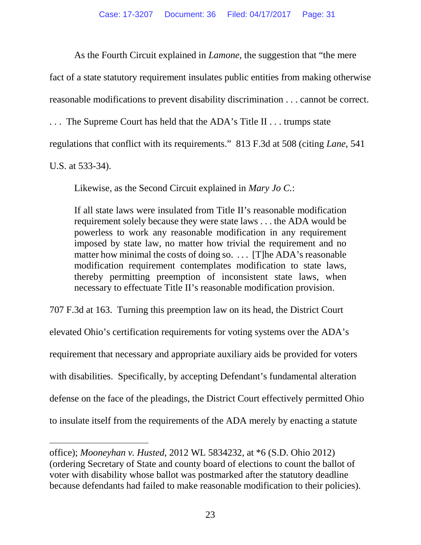As the Fourth Circuit explained in *Lamone*, the suggestion that "the mere

fact of a state statutory requirement insulates public entities from making otherwise

reasonable modifications to prevent disability discrimination . . . cannot be correct.

. . . The Supreme Court has held that the ADA's Title II . . . trumps state

regulations that conflict with its requirements." 813 F.3d at 508 (citing *Lane*, 541

U.S. at 533-34).

<span id="page-30-0"></span> $\overline{a}$ 

Likewise, as the Second Circuit explained in *Mary Jo C.*:

If all state laws were insulated from Title II's reasonable modification requirement solely because they were state laws . . . the ADA would be powerless to work any reasonable modification in any requirement imposed by state law, no matter how trivial the requirement and no matter how minimal the costs of doing so. . . . [T]he ADA's reasonable modification requirement contemplates modification to state laws, thereby permitting preemption of inconsistent state laws, when necessary to effectuate Title II's reasonable modification provision.

707 F.3d at 163. Turning this preemption law on its head, the District Court elevated Ohio's certification requirements for voting systems over the ADA's requirement that necessary and appropriate auxiliary aids be provided for voters with disabilities. Specifically, by accepting Defendant's fundamental alteration defense on the face of the pleadings, the District Court effectively permitted Ohio to insulate itself from the requirements of the ADA merely by enacting a statute

office); *Mooneyhan v. Husted*, 2012 WL 5834232, at \*6 (S.D. Ohio 2012) (ordering Secretary of State and county board of elections to count the ballot of voter with disability whose ballot was postmarked after the statutory deadline because defendants had failed to make reasonable modification to their policies).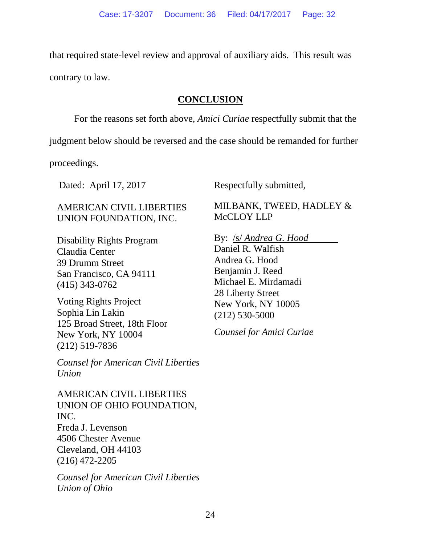that required state-level review and approval of auxiliary aids. This result was

contrary to law.

## **CONCLUSION**

For the reasons set forth above, *Amici Curiae* respectfully submit that the

judgment below should be reversed and the case should be remanded for further

proceedings.

AMERICAN CIVIL LIBERTIES UNION FOUNDATION, INC.

Disability Rights Program Claudia Center 39 Drumm Street San Francisco, CA 94111 (415) 343-0762

Voting Rights Project Sophia Lin Lakin 125 Broad Street, 18th Floor New York, NY 10004 (212) 519-7836

*Counsel for American Civil Liberties Union*

AMERICAN CIVIL LIBERTIES UNION OF OHIO FOUNDATION, INC. Freda J. Levenson 4506 Chester Avenue Cleveland, OH 44103 (216) 472-2205

<span id="page-31-0"></span>*Counsel for American Civil Liberties Union of Ohio*

Dated: April 17, 2017 Respectfully submitted,

MILBANK, TWEED, HADLEY & McCLOY LLP

By: /s/ *Andrea G. Hood*

Daniel R. Walfish Andrea G. Hood Benjamin J. Reed Michael E. Mirdamadi 28 Liberty Street New York, NY 10005 (212) 530-5000

*Counsel for Amici Curiae*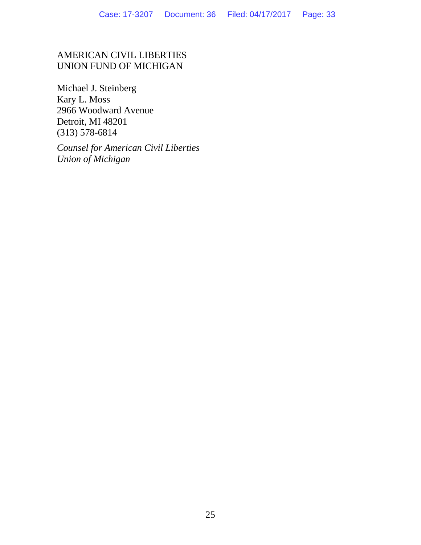### AMERICAN CIVIL LIBERTIES UNION FUND OF MICHIGAN

Michael J. Steinberg Kary L. Moss 2966 Woodward Avenue Detroit, MI 48201 (313) 578-6814

*Counsel for American Civil Liberties Union of Michigan*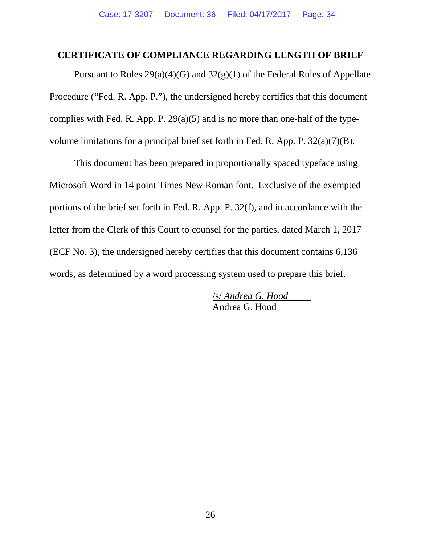#### **CERTIFICATE OF COMPLIANCE REGARDING LENGTH OF BRIEF**

Pursuant to Rules  $29(a)(4)(G)$  and  $32(g)(1)$  of the Federal Rules of Appellate Procedure ("Fed. R. App. P."), the undersigned hereby certifies that this document complies with Fed. R. App. P.  $29(a)(5)$  and is no more than one-half of the typevolume limitations for a principal brief set forth in Fed. R. App. P. 32(a)(7)(B).

This document has been prepared in proportionally spaced typeface using Microsoft Word in 14 point Times New Roman font. Exclusive of the exempted portions of the brief set forth in Fed. R. App. P. 32(f), and in accordance with the letter from the Clerk of this Court to counsel for the parties, dated March 1, 2017 (ECF No. 3), the undersigned hereby certifies that this document contains 6,136 words, as determined by a word processing system used to prepare this brief.

> /s/ *Andrea G. Hood* Andrea G. Hood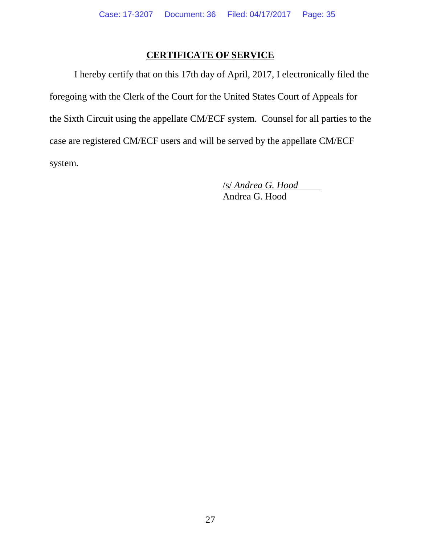#### **CERTIFICATE OF SERVICE**

I hereby certify that on this 17th day of April, 2017, I electronically filed the foregoing with the Clerk of the Court for the United States Court of Appeals for the Sixth Circuit using the appellate CM/ECF system. Counsel for all parties to the case are registered CM/ECF users and will be served by the appellate CM/ECF system.

> <span id="page-34-0"></span>/s/ *Andrea G. Hood* Andrea G. Hood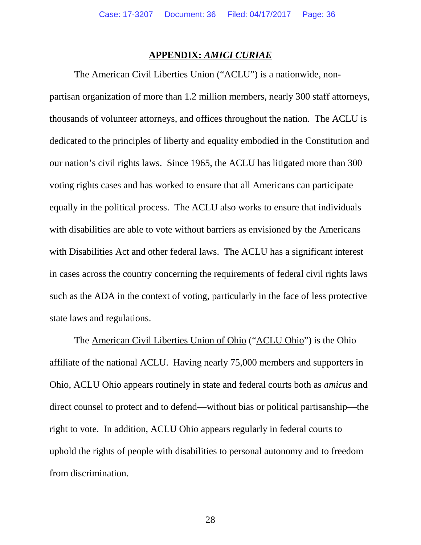#### **APPENDIX:** *AMICI CURIAE*

The American Civil Liberties Union ("ACLU") is a nationwide, non-

partisan organization of more than 1.2 million members, nearly 300 staff attorneys, thousands of volunteer attorneys, and offices throughout the nation. The ACLU is dedicated to the principles of liberty and equality embodied in the Constitution and our nation's civil rights laws. Since 1965, the ACLU has litigated more than 300 voting rights cases and has worked to ensure that all Americans can participate equally in the political process. The ACLU also works to ensure that individuals with disabilities are able to vote without barriers as envisioned by the Americans with Disabilities Act and other federal laws. The ACLU has a significant interest in cases across the country concerning the requirements of federal civil rights laws such as the ADA in the context of voting, particularly in the face of less protective state laws and regulations.

The American Civil Liberties Union of Ohio ("ACLU Ohio") is the Ohio affiliate of the national ACLU. Having nearly 75,000 members and supporters in Ohio, ACLU Ohio appears routinely in state and federal courts both as *amicus* and direct counsel to protect and to defend—without bias or political partisanship—the right to vote. In addition, ACLU Ohio appears regularly in federal courts to uphold the rights of people with disabilities to personal autonomy and to freedom from discrimination.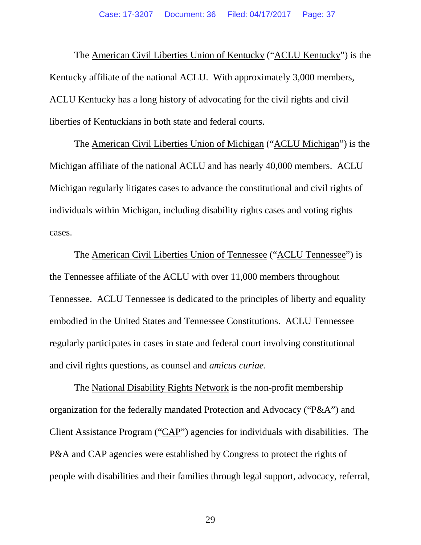The American Civil Liberties Union of Kentucky ("ACLU Kentucky") is the Kentucky affiliate of the national ACLU. With approximately 3,000 members, ACLU Kentucky has a long history of advocating for the civil rights and civil liberties of Kentuckians in both state and federal courts.

The American Civil Liberties Union of Michigan ("ACLU Michigan") is the Michigan affiliate of the national ACLU and has nearly 40,000 members. ACLU Michigan regularly litigates cases to advance the constitutional and civil rights of individuals within Michigan, including disability rights cases and voting rights cases.

The American Civil Liberties Union of Tennessee ("ACLU Tennessee") is the Tennessee affiliate of the ACLU with over 11,000 members throughout Tennessee. ACLU Tennessee is dedicated to the principles of liberty and equality embodied in the United States and Tennessee Constitutions. ACLU Tennessee regularly participates in cases in state and federal court involving constitutional and civil rights questions, as counsel and *amicus curiae*.

The National Disability Rights Network is the non-profit membership organization for the federally mandated Protection and Advocacy ("P&A") and Client Assistance Program ("CAP") agencies for individuals with disabilities. The P&A and CAP agencies were established by Congress to protect the rights of people with disabilities and their families through legal support, advocacy, referral,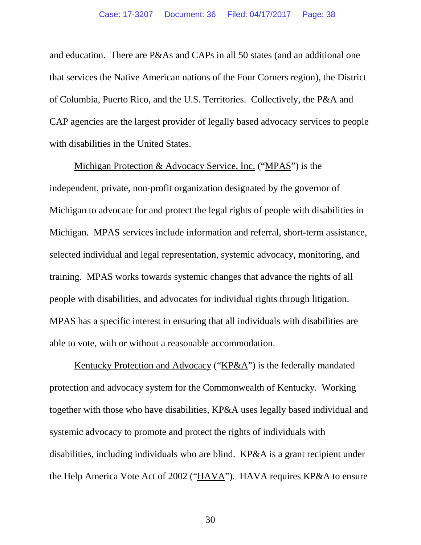and education. There are P&As and CAPs in all 50 states (and an additional one that services the Native American nations of the Four Corners region), the District of Columbia, Puerto Rico, and the U.S. Territories. Collectively, the P&A and CAP agencies are the largest provider of legally based advocacy services to people with disabilities in the United States.

Michigan Protection & Advocacy Service, Inc. ("MPAS") is the independent, private, non-profit organization designated by the governor of Michigan to advocate for and protect the legal rights of people with disabilities in Michigan. MPAS services include information and referral, short-term assistance, selected individual and legal representation, systemic advocacy, monitoring, and training. MPAS works towards systemic changes that advance the rights of all people with disabilities, and advocates for individual rights through litigation. MPAS has a specific interest in ensuring that all individuals with disabilities are able to vote, with or without a reasonable accommodation.

Kentucky Protection and Advocacy ("KP&A") is the federally mandated protection and advocacy system for the Commonwealth of Kentucky. Working together with those who have disabilities, KP&A uses legally based individual and systemic advocacy to promote and protect the rights of individuals with disabilities, including individuals who are blind. KP&A is a grant recipient under the Help America Vote Act of 2002 ("HAVA"). HAVA requires KP&A to ensure